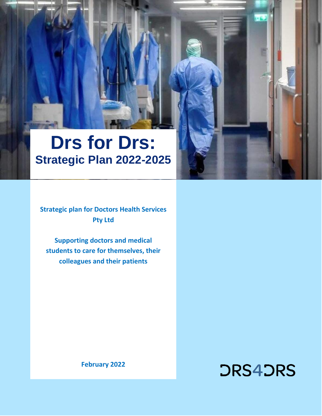# **Drs for Drs: Strategic Plan 2022-2025**

**Strategic plan for Doctors Health Services Pty Ltd**

**Supporting doctors and medical students to care for themselves, their colleagues and their patients**

**February 2022**

# **DRS4DRS**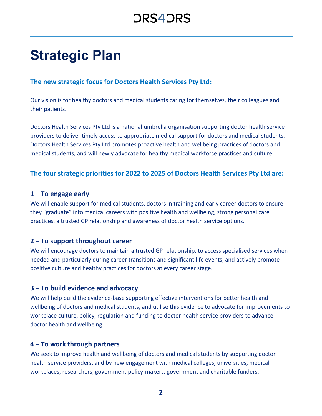## **Strategic Plan**

### **The new strategic focus for Doctors Health Services Pty Ltd:**

Our vision is for healthy doctors and medical students caring for themselves, their colleagues and their patients.

Doctors Health Services Pty Ltd is a national umbrella organisation supporting doctor health service providers to deliver timely access to appropriate medical support for doctors and medical students. Doctors Health Services Pty Ltd promotes proactive health and wellbeing practices of doctors and medical students, and will newly advocate for healthy medical workforce practices and culture.

### **The four strategic priorities for 2022 to 2025 of Doctors Health Services Pty Ltd are:**

#### **1 – To engage early**

We will enable support for medical students, doctors in training and early career doctors to ensure they "graduate" into medical careers with positive health and wellbeing, strong personal care practices, a trusted GP relationship and awareness of doctor health service options.

#### **2 – To support throughout career**

We will encourage doctors to maintain a trusted GP relationship, to access specialised services when needed and particularly during career transitions and significant life events, and actively promote positive culture and healthy practices for doctors at every career stage.

#### **3 – To build evidence and advocacy**

We will help build the evidence-base supporting effective interventions for better health and wellbeing of doctors and medical students, and utilise this evidence to advocate for improvements to workplace culture, policy, regulation and funding to doctor health service providers to advance doctor health and wellbeing.

#### **4 – To work through partners**

We seek to improve health and wellbeing of doctors and medical students by supporting doctor health service providers, and by new engagement with medical colleges, universities, medical workplaces, researchers, government policy-makers, government and charitable funders.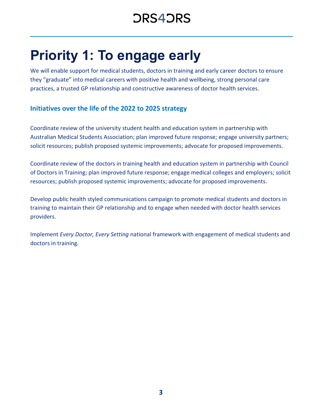## **Priority 1: To engage early**

We will enable support for medical students, doctors in training and early career doctors to ensure they "graduate" into medical careers with positive health and wellbeing, strong personal care practices, a trusted GP relationship and constructive awareness of doctor health services.

### **Initiatives over the life of the 2022 to 2025 strategy**

Coordinate review of the university student health and education system in partnership with Australian Medical Students Association; plan improved future response; engage university partners; solicit resources; publish proposed systemic improvements; advocate for proposed improvements.

Coordinate review of the doctors in training health and education system in partnership with Council of Doctors in Training; plan improved future response; engage medical colleges and employers; solicit resources; publish proposed systemic improvements; advocate for proposed improvements.

Develop public health styled communications campaign to promote medical students and doctors in training to maintain their GP relationship and to engage when needed with doctor health services providers.

Implement *Every Doctor, Every Setting* national framework with engagement of medical students and doctors in training.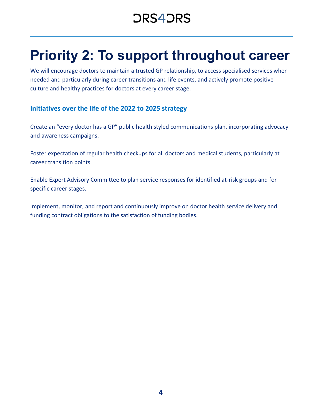## **Priority 2: To support throughout career**

We will encourage doctors to maintain a trusted GP relationship, to access specialised services when needed and particularly during career transitions and life events, and actively promote positive culture and healthy practices for doctors at every career stage.

### **Initiatives over the life of the 2022 to 2025 strategy**

Create an "every doctor has a GP" public health styled communications plan, incorporating advocacy and awareness campaigns.

Foster expectation of regular health checkups for all doctors and medical students, particularly at career transition points.

Enable Expert Advisory Committee to plan service responses for identified at-risk groups and for specific career stages.

Implement, monitor, and report and continuously improve on doctor health service delivery and funding contract obligations to the satisfaction of funding bodies.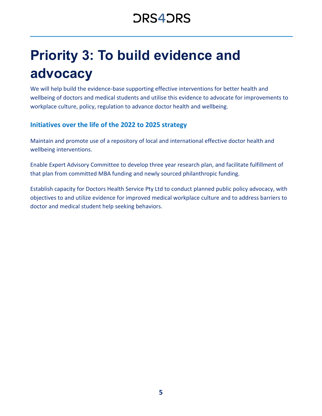# **Priority 3: To build evidence and advocacy**

We will help build the evidence-base supporting effective interventions for better health and wellbeing of doctors and medical students and utilise this evidence to advocate for improvements to workplace culture, policy, regulation to advance doctor health and wellbeing.

### **Initiatives over the life of the 2022 to 2025 strategy**

Maintain and promote use of a repository of local and international effective doctor health and wellbeing interventions.

Enable Expert Advisory Committee to develop three year research plan, and facilitate fulfillment of that plan from committed MBA funding and newly sourced philanthropic funding.

Establish capacity for Doctors Health Service Pty Ltd to conduct planned public policy advocacy, with objectives to and utilize evidence for improved medical workplace culture and to address barriers to doctor and medical student help seeking behaviors.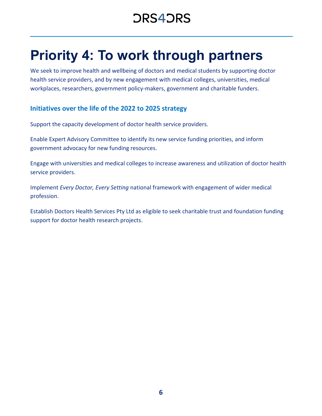## **Priority 4: To work through partners**

We seek to improve health and wellbeing of doctors and medical students by supporting doctor health service providers, and by new engagement with medical colleges, universities, medical workplaces, researchers, government policy-makers, government and charitable funders.

### **Initiatives over the life of the 2022 to 2025 strategy**

Support the capacity development of doctor health service providers.

Enable Expert Advisory Committee to identify its new service funding priorities, and inform government advocacy for new funding resources.

Engage with universities and medical colleges to increase awareness and utilization of doctor health service providers.

Implement *Every Doctor, Every Setting* national framework with engagement of wider medical profession.

Establish Doctors Health Services Pty Ltd as eligible to seek charitable trust and foundation funding support for doctor health research projects.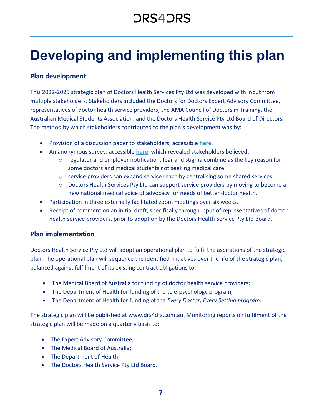## **Developing and implementing this plan**

### **Plan development**

This 2022-2025 strategic plan of Doctors Health Services Pty Ltd was developed with input from multiple stakeholders. Stakeholders included the Doctors for Doctors Expert Advisory Committee, representatives of doctor health service providers, the AMA Council of Doctors in Training, the Australian Medical Students Association, and the Doctors Health Service Pty Ltd Board of Directors. The method by which stakeholders contributed to the plan's development was by:

- Provision of a discussion paper to stakeholders, accessible **[here](https://www.ama.com.au/sites/default/files/2022-02/Drs%204%20Drs%20National%20Strategy.pdf)**.
- An anonymous survey, accessible **[here](https://www.ama.com.au/sites/default/files/2022-02/DRS4DRS%20Strategic%20Survey%20November%202021.pdf)**, which revealed stakeholders believed:
	- $\circ$  regulator and employer notification, fear and stigma combine as the key reason for some doctors and medical students not seeking medical care;
	- $\circ$  service providers can expand service reach by centralising some shared services;
	- o Doctors Health Services Pty Ltd can support service providers by moving to become a new national medical voice of advocacy for needs of better doctor health.
- Participation in three externally facilitated zoom meetings over six weeks.
- Receipt of comment on an initial draft, specifically through input of representatives of doctor health service providers, prior to adoption by the Doctors Health Service Pty Ltd Board.

### **Plan implementation**

Doctors Health Service Pty Ltd will adopt an operational plan to fulfil the aspirations of the strategic plan. The operational plan will sequence the identified initiatives over the life of the strategic plan, balanced against fulfilment of its existing contract obligations to:

- The Medical Board of Australia for funding of doctor health service providers;
- The Department of Health for funding of the tele-psychology program;
- The Department of Health for funding of the *Every Doctor, Every Setting program.*

The strategic plan will be published at www.drs4drs.com.au. Monitoring reports on fulfilment of the strategic plan will be made on a quarterly basis to:

- The Expert Advisory Committee;
- The Medical Board of Australia;
- The Department of Health;
- The Doctors Health Service Pty Ltd Board.